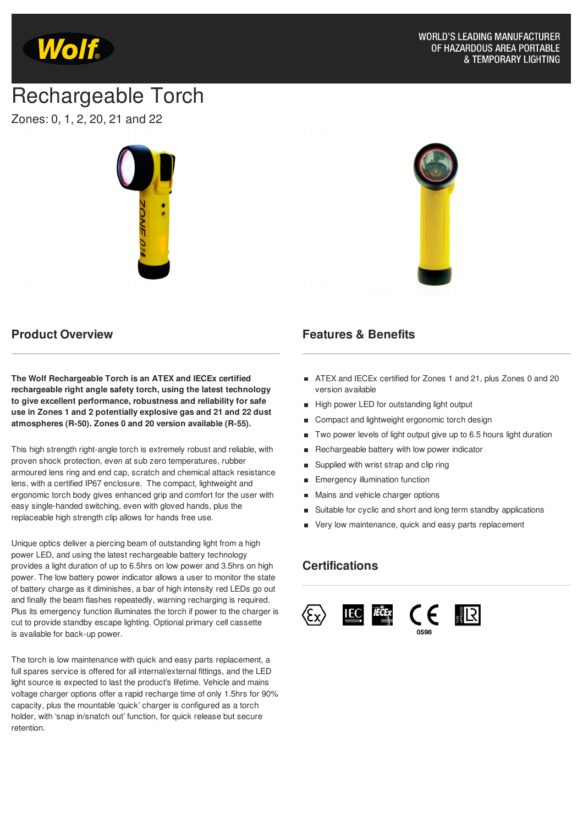

# Rechargeable Torch

Zones: 0, 1, 2, 20, 21 and 22



#### **Product Overview**

**The Wolf Rechargeable Torch is an ATEX and IECEx certified rechargeable right angle safety torch, using the latest technology to give excellent performance, robustness and reliability for safe use in Zones 1 and 2 potentially explosive gas and 21 and 22 dust atmospheres (R-50). Zones 0 and 20 version available (R-55).**

This high strength right-angle torch is extremely robust and reliable, with proven shock protection, even at sub zero temperatures, rubber armoured lens ring and end cap, scratch and chemical attack resistance lens, with a certified IP67 enclosure. The compact, lightweight and ergonomic torch body gives enhanced grip and comfort for the user with easy single-handed switching, even with gloved hands, plus the replaceable high strength clip allows for hands free use.

Unique optics deliver a piercing beam of outstanding light from a high power LED, and using the latest rechargeable battery technology provides a light duration of up to 6.5hrs on low power and 3.5hrs on high power. The low battery power indicator allows a user to monitor the state of battery charge as it diminishes, a bar of high intensity red LEDs go out and finally the beam flashes repeatedly, warning recharging is required. Plus its emergency function illuminates the torch if power to the charger is cut to provide standby escape lighting. Optional primary cell cassette is available for back-up power.

The torch is low maintenance with quick and easy parts replacement, a full spares service is offered for all internal/external fittings, and the LED light source is expected to last the product's lifetime. Vehicle and mains voltage charger options offer a rapid recharge time of only 1.5hrs for 90% capacity, plus the mountable 'quick' charger is configured as a torch holder, with 'snap in/snatch out' function, for quick release but secure retention.

#### **Features & Benefits**

- ATEX and IECEx certified for Zones 1 and 21, plus Zones 0 and 20 version available
- **High power LED for outstanding light output**
- Compact and lightweight ergonomic torch design
- Two power levels of light output give up to 6.5 hours light duration
- Rechargeable battery with low power indicator
- Supplied with wrist strap and clip ring  $\blacksquare$
- Emergency illumination function
- Mains and vehicle charger options  $\blacksquare$
- Suitable for cyclic and short and long term standby applications
- Very low maintenance, quick and easy parts replacement

#### **Certifications**

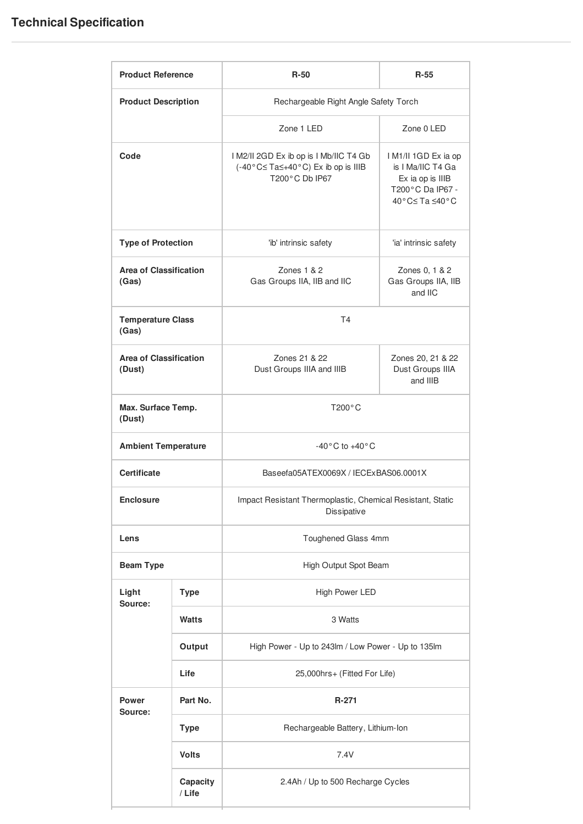## **Technical Specification**

| <b>Product Reference</b>                |                    | $R-50$                                                                                        | R-55                                                                                               |
|-----------------------------------------|--------------------|-----------------------------------------------------------------------------------------------|----------------------------------------------------------------------------------------------------|
| <b>Product Description</b>              |                    | Rechargeable Right Angle Safety Torch                                                         |                                                                                                    |
|                                         |                    | Zone 1 LED                                                                                    | Zone 0 LED                                                                                         |
| Code                                    |                    | I M2/II 2GD Ex ib op is I Mb/IIC T4 Gb<br>(-40°C≤Ta≤+40°C) Ex ib op is IIIB<br>T200°C Db IP67 | I M1/II 1GD Ex ia op<br>is I Ma/IIC T4 Ga<br>Ex ia op is IIIB<br>T200°C Da IP67 -<br>40°C≤Ta ≤40°C |
| <b>Type of Protection</b>               |                    | 'ib' intrinsic safety                                                                         | 'ia' intrinsic safety                                                                              |
| <b>Area of Classification</b><br>(Gas)  |                    | Zones $1 & 2$<br>Gas Groups IIA, IIB and IIC                                                  | Zones 0, 1 & 2<br>Gas Groups IIA, IIB<br>and IIC                                                   |
| <b>Temperature Class</b><br>(Gas)       |                    | T <sub>4</sub>                                                                                |                                                                                                    |
| <b>Area of Classification</b><br>(Dust) |                    | Zones 21 & 22<br>Dust Groups IIIA and IIIB                                                    | Zones 20, 21 & 22<br>Dust Groups IIIA<br>and IIIB                                                  |
| Max. Surface Temp.<br>(Dust)            |                    | $T200^{\circ}$ C                                                                              |                                                                                                    |
| <b>Ambient Temperature</b>              |                    | $-40\degree$ C to $+40\degree$ C                                                              |                                                                                                    |
| <b>Certificate</b>                      |                    | Baseefa05ATEX0069X / IECExBAS06.0001X                                                         |                                                                                                    |
| <b>Enclosure</b>                        |                    | Impact Resistant Thermoplastic, Chemical Resistant, Static<br>Dissipative                     |                                                                                                    |
| Lens                                    |                    | Toughened Glass 4mm                                                                           |                                                                                                    |
| <b>Beam Type</b>                        |                    | High Output Spot Beam                                                                         |                                                                                                    |
| Light<br>Source:                        | <b>Type</b>        | High Power LED                                                                                |                                                                                                    |
|                                         | <b>Watts</b>       | 3 Watts                                                                                       |                                                                                                    |
|                                         | Output             | High Power - Up to 243lm / Low Power - Up to 135lm                                            |                                                                                                    |
|                                         | Life               | 25,000hrs+ (Fitted For Life)                                                                  |                                                                                                    |
| Power<br>Source:                        | Part No.           | $R-271$                                                                                       |                                                                                                    |
|                                         | <b>Type</b>        | Rechargeable Battery, Lithium-Ion                                                             |                                                                                                    |
|                                         | <b>Volts</b>       | 7.4V                                                                                          |                                                                                                    |
|                                         | Capacity<br>/ Life | 2.4Ah / Up to 500 Recharge Cycles                                                             |                                                                                                    |